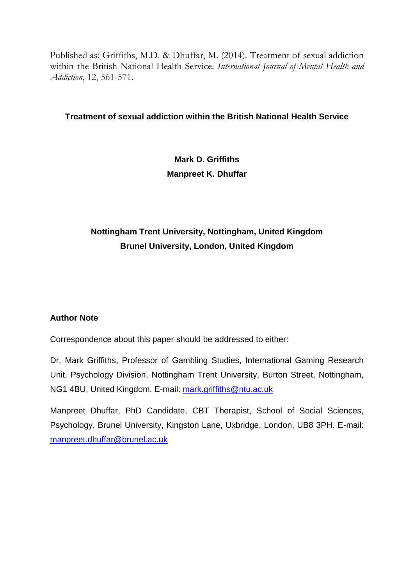Published as: Griffiths, M.D. & Dhuffar, M. (2014). Treatment of sexual addiction within the British National Health Service. *International Journal of Mental Health and Addiction*, 12, 561-571.

## **Treatment of sexual addiction within the British National Health Service**

**Mark D. Griffiths Manpreet K. Dhuffar**

# **Nottingham Trent University, Nottingham, United Kingdom Brunel University, London, United Kingdom**

## **Author Note**

Correspondence about this paper should be addressed to either:

Dr. Mark Griffiths, Professor of Gambling Studies, International Gaming Research Unit, Psychology Division, Nottingham Trent University, Burton Street, Nottingham, NG1 4BU, United Kingdom. E-mail: [mark.griffiths@ntu.ac.uk](mailto:mark.griffiths@ntu.ac.uk)

Manpreet Dhuffar, PhD Candidate, CBT Therapist, School of Social Sciences, Psychology, Brunel University, Kingston Lane, Uxbridge, London, UB8 3PH. E-mail: [manpreet.dhuffar@brunel.ac.uk](mailto:manpreet.dhuffar@brunel.ac.uk)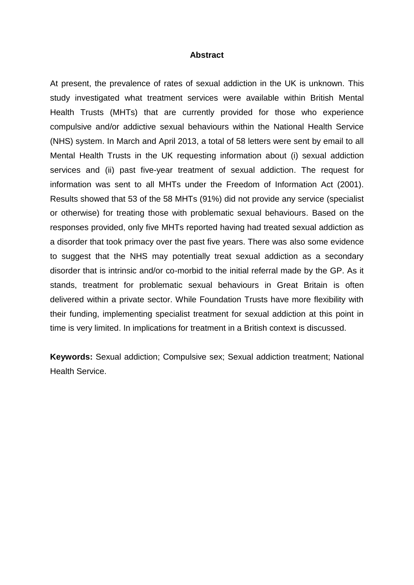#### **Abstract**

At present, the prevalence of rates of sexual addiction in the UK is unknown. This study investigated what treatment services were available within British Mental Health Trusts (MHTs) that are currently provided for those who experience compulsive and/or addictive sexual behaviours within the National Health Service (NHS) system. In March and April 2013, a total of 58 letters were sent by email to all Mental Health Trusts in the UK requesting information about (i) sexual addiction services and (ii) past five-year treatment of sexual addiction. The request for information was sent to all MHTs under the Freedom of Information Act (2001). Results showed that 53 of the 58 MHTs (91%) did not provide any service (specialist or otherwise) for treating those with problematic sexual behaviours. Based on the responses provided, only five MHTs reported having had treated sexual addiction as a disorder that took primacy over the past five years. There was also some evidence to suggest that the NHS may potentially treat sexual addiction as a secondary disorder that is intrinsic and/or co-morbid to the initial referral made by the GP. As it stands, treatment for problematic sexual behaviours in Great Britain is often delivered within a private sector. While Foundation Trusts have more flexibility with their funding, implementing specialist treatment for sexual addiction at this point in time is very limited. In implications for treatment in a British context is discussed.

**Keywords:** Sexual addiction; Compulsive sex; Sexual addiction treatment; National Health Service.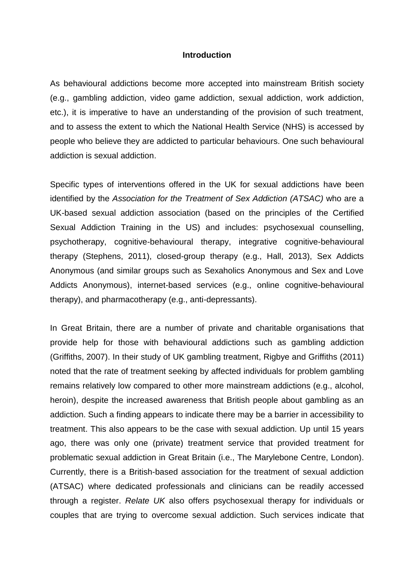#### **Introduction**

As behavioural addictions become more accepted into mainstream British society (e.g., gambling addiction, video game addiction, sexual addiction, work addiction, etc.), it is imperative to have an understanding of the provision of such treatment, and to assess the extent to which the National Health Service (NHS) is accessed by people who believe they are addicted to particular behaviours. One such behavioural addiction is sexual addiction.

Specific types of interventions offered in the UK for sexual addictions have been identified by the *Association for the Treatment of Sex Addiction (ATSAC)* who are a UK-based sexual addiction association (based on the principles of the Certified Sexual Addiction Training in the US) and includes: psychosexual counselling, psychotherapy, cognitive-behavioural therapy, integrative cognitive-behavioural therapy (Stephens, 2011), closed-group therapy (e.g., Hall, 2013), Sex Addicts Anonymous (and similar groups such as Sexaholics Anonymous and Sex and Love Addicts Anonymous), internet-based services (e.g., online cognitive-behavioural therapy), and pharmacotherapy (e.g., anti-depressants).

In Great Britain, there are a number of private and charitable organisations that provide help for those with behavioural addictions such as gambling addiction (Griffiths, 2007). In their study of UK gambling treatment, Rigbye and Griffiths (2011) noted that the rate of treatment seeking by affected individuals for problem gambling remains relatively low compared to other more mainstream addictions (e.g., alcohol, heroin), despite the increased awareness that British people about gambling as an addiction. Such a finding appears to indicate there may be a barrier in accessibility to treatment. This also appears to be the case with sexual addiction. Up until 15 years ago, there was only one (private) treatment service that provided treatment for problematic sexual addiction in Great Britain (i.e., The Marylebone Centre, London). Currently, there is a British-based association for the treatment of sexual addiction (ATSAC) where dedicated professionals and clinicians can be readily accessed through a register. *Relate UK* also offers psychosexual therapy for individuals or couples that are trying to overcome sexual addiction. Such services indicate that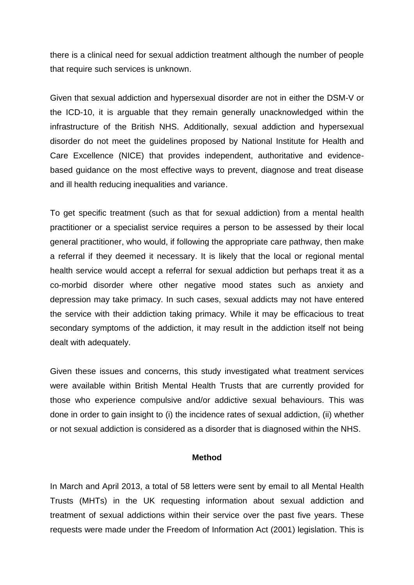there is a clinical need for sexual addiction treatment although the number of people that require such services is unknown.

Given that sexual addiction and hypersexual disorder are not in either the DSM-V or the ICD-10, it is arguable that they remain generally unacknowledged within the infrastructure of the British NHS. Additionally, sexual addiction and hypersexual disorder do not meet the guidelines proposed by National Institute for Health and Care Excellence (NICE) that provides independent, authoritative and evidencebased guidance on the most effective ways to prevent, diagnose and treat disease and ill health reducing inequalities and variance.

To get specific treatment (such as that for sexual addiction) from a mental health practitioner or a specialist service requires a person to be assessed by their local general practitioner, who would, if following the appropriate care pathway, then make a referral if they deemed it necessary. It is likely that the local or regional mental health service would accept a referral for sexual addiction but perhaps treat it as a co-morbid disorder where other negative mood states such as anxiety and depression may take primacy. In such cases, sexual addicts may not have entered the service with their addiction taking primacy. While it may be efficacious to treat secondary symptoms of the addiction, it may result in the addiction itself not being dealt with adequately.

Given these issues and concerns, this study investigated what treatment services were available within British Mental Health Trusts that are currently provided for those who experience compulsive and/or addictive sexual behaviours. This was done in order to gain insight to (i) the incidence rates of sexual addiction, (ii) whether or not sexual addiction is considered as a disorder that is diagnosed within the NHS.

#### **Method**

In March and April 2013, a total of 58 letters were sent by email to all Mental Health Trusts (MHTs) in the UK requesting information about sexual addiction and treatment of sexual addictions within their service over the past five years. These requests were made under the Freedom of Information Act (2001) legislation. This is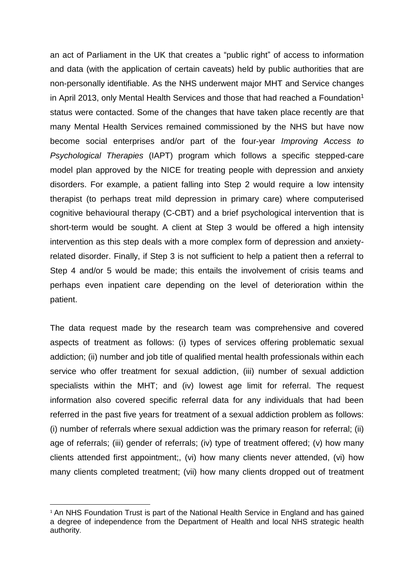an act of Parliament in the UK that creates a "public right" of access to information and data (with the application of certain caveats) held by public authorities that are non-personally identifiable. As the NHS underwent major MHT and Service changes in April 2013, only Mental Health Services and those that had reached a Foundation<sup>1</sup> status were contacted. Some of the changes that have taken place recently are that many Mental Health Services remained commissioned by the NHS but have now become social enterprises and/or part of the four-year *Improving Access to Psychological Therapies* (IAPT) program which follows a specific stepped-care model plan approved by the NICE for treating people with depression and anxiety disorders. For example, a patient falling into Step 2 would require a low intensity therapist (to perhaps treat mild depression in primary care) where computerised cognitive behavioural therapy (C-CBT) and a brief psychological intervention that is short-term would be sought. A client at Step 3 would be offered a high intensity intervention as this step deals with a more complex form of depression and anxietyrelated disorder. Finally, if Step 3 is not sufficient to help a patient then a referral to Step 4 and/or 5 would be made; this entails the involvement of crisis teams and perhaps even inpatient care depending on the level of deterioration within the patient.

The data request made by the research team was comprehensive and covered aspects of treatment as follows: (i) types of services offering problematic sexual addiction; (ii) number and job title of qualified mental health professionals within each service who offer treatment for sexual addiction, (iii) number of sexual addiction specialists within the MHT; and (iv) lowest age limit for referral. The request information also covered specific referral data for any individuals that had been referred in the past five years for treatment of a sexual addiction problem as follows: (i) number of referrals where sexual addiction was the primary reason for referral; (ii) age of referrals; (iii) gender of referrals; (iv) type of treatment offered; (v) how many clients attended first appointment;, (vi) how many clients never attended, (vi) how many clients completed treatment; (vii) how many clients dropped out of treatment

1

<sup>&</sup>lt;sup>1</sup> An NHS Foundation Trust is part of the [National Health Service](http://en.wikipedia.org/wiki/National_Health_Service_(England)) in [England](http://en.wikipedia.org/wiki/England) and has gained a degree of independence from the [Department of Health](http://en.wikipedia.org/wiki/Department_of_Health_(United_Kingdom)) and local [NHS strategic health](http://en.wikipedia.org/wiki/NHS_strategic_health_authority)  [authority](http://en.wikipedia.org/wiki/NHS_strategic_health_authority).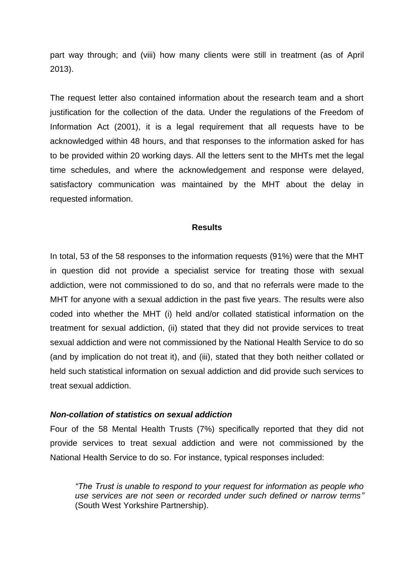part way through; and (viii) how many clients were still in treatment (as of April 2013).

The request letter also contained information about the research team and a short justification for the collection of the data. Under the regulations of the Freedom of Information Act (2001), it is a legal requirement that all requests have to be acknowledged within 48 hours, and that responses to the information asked for has to be provided within 20 working days. All the letters sent to the MHTs met the legal time schedules, and where the acknowledgement and response were delayed, satisfactory communication was maintained by the MHT about the delay in requested information.

#### **Results**

In total, 53 of the 58 responses to the information requests (91%) were that the MHT in question did not provide a specialist service for treating those with sexual addiction, were not commissioned to do so, and that no referrals were made to the MHT for anyone with a sexual addiction in the past five years. The results were also coded into whether the MHT (i) held and/or collated statistical information on the treatment for sexual addiction, (ii) stated that they did not provide services to treat sexual addiction and were not commissioned by the National Health Service to do so (and by implication do not treat it), and (iii), stated that they both neither collated or held such statistical information on sexual addiction and did provide such services to treat sexual addiction.

#### *Non-collation of statistics on sexual addiction*

Four of the 58 Mental Health Trusts (7%) specifically reported that they did not provide services to treat sexual addiction and were not commissioned by the National Health Service to do so. For instance, typical responses included:

*"The Trust is unable to respond to your request for information as people who use services are not seen or recorded under such defined or narrow terms"*  (South West Yorkshire Partnership).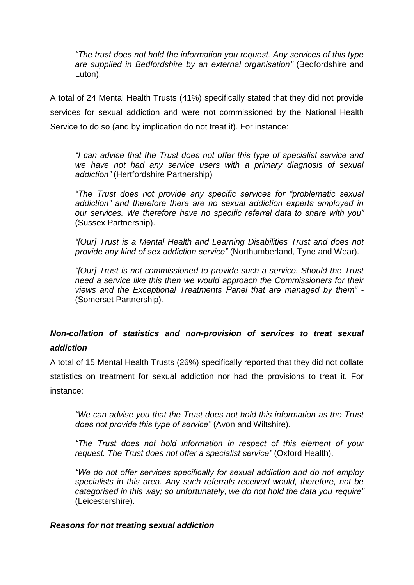*"The trust does not hold the information you request. Any services of this type are supplied in Bedfordshire by an external organisation"* (Bedfordshire and Luton).

A total of 24 Mental Health Trusts (41%) specifically stated that they did not provide services for sexual addiction and were not commissioned by the National Health Service to do so (and by implication do not treat it). For instance:

*"I can advise that the Trust does not offer this type of specialist service and we have not had any service users with a primary diagnosis of sexual addiction"* (Hertfordshire Partnership)

*"The Trust does not provide any specific services for "problematic sexual addiction" and therefore there are no sexual addiction experts employed in our services. We therefore have no specific referral data to share with you"*  (Sussex Partnership).

*"[Our] Trust is a Mental Health and Learning Disabilities Trust and does not provide any kind of sex addiction service"* (Northumberland, Tyne and Wear).

*"[Our] Trust is not commissioned to provide such a service. Should the Trust need a service like this then we would approach the Commissioners for their views and the Exceptional Treatments Panel that are managed by them" -* (Somerset Partnership)*.*

## *Non-collation of statistics and non-provision of services to treat sexual addiction*

A total of 15 Mental Health Trusts (26%) specifically reported that they did not collate statistics on treatment for sexual addiction nor had the provisions to treat it. For instance:

*"We can advise you that the Trust does not hold this information as the Trust does not provide this type of service"* (Avon and Wiltshire).

*"The Trust does not hold information in respect of this element of your request. The Trust does not offer a specialist service"* (Oxford Health).

*"We do not offer services specifically for sexual addiction and do not employ specialists in this area. Any such referrals received would, therefore, not be categorised in this way; so unfortunately, we do not hold the data you require"* (Leicestershire).

## *Reasons for not treating sexual addiction*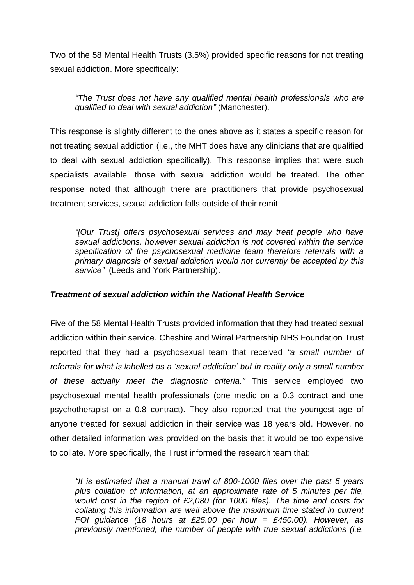Two of the 58 Mental Health Trusts (3.5%) provided specific reasons for not treating sexual addiction. More specifically:

*"The Trust does not have any qualified mental health professionals who are qualified to deal with sexual addiction"* (Manchester).

This response is slightly different to the ones above as it states a specific reason for not treating sexual addiction (i.e., the MHT does have any clinicians that are qualified to deal with sexual addiction specifically). This response implies that were such specialists available, those with sexual addiction would be treated. The other response noted that although there are practitioners that provide psychosexual treatment services, sexual addiction falls outside of their remit:

*"[Our Trust] offers psychosexual services and may treat people who have sexual addictions, however sexual addiction is not covered within the service specification of the psychosexual medicine team therefore referrals with a primary diagnosis of sexual addiction would not currently be accepted by this service"* (Leeds and York Partnership).

## *Treatment of sexual addiction within the National Health Service*

Five of the 58 Mental Health Trusts provided information that they had treated sexual addiction within their service. Cheshire and Wirral Partnership NHS Foundation Trust reported that they had a psychosexual team that received *"a small number of referrals for what is labelled as a 'sexual addiction' but in reality only a small number of these actually meet the diagnostic criteria."* This service employed two psychosexual mental health professionals (one medic on a 0.3 contract and one psychotherapist on a 0.8 contract). They also reported that the youngest age of anyone treated for sexual addiction in their service was 18 years old. However, no other detailed information was provided on the basis that it would be too expensive to collate. More specifically, the Trust informed the research team that:

*"It is estimated that a manual trawl of 800-1000 files over the past 5 years plus collation of information, at an approximate rate of 5 minutes per file, would cost in the region of £2,080 (for 1000 files). The time and costs for collating this information are well above the maximum time stated in current FOI guidance (18 hours at £25.00 per hour = £450.00). However, as previously mentioned, the number of people with true sexual addictions (i.e.*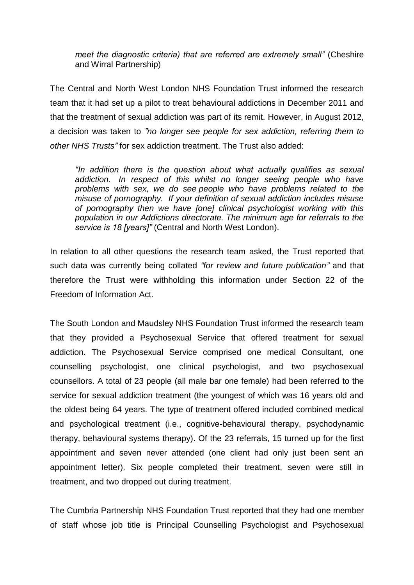*meet the diagnostic criteria) that are referred are extremely small"* (Cheshire and Wirral Partnership)

The Central and North West London NHS Foundation Trust informed the research team that it had set up a pilot to treat behavioural addictions in December 2011 and that the treatment of sexual addiction was part of its remit. However, in August 2012, a decision was taken to *"no longer see people for sex addiction, referring them to other NHS Trusts"* for sex addiction treatment. The Trust also added:

*"In addition there is the question about what actually qualifies as sexual addiction. In respect of this whilst no longer seeing people who have problems with sex, we do see people who have problems related to the misuse of pornography. If your definition of sexual addiction includes misuse of pornography then we have [one] clinical psychologist working with this population in our Addictions directorate. The minimum age for referrals to the service is 18 [years]"* (Central and North West London).

In relation to all other questions the research team asked, the Trust reported that such data was currently being collated *"for review and future publication"* and that therefore the Trust were withholding this information under Section 22 of the Freedom of Information Act.

The South London and Maudsley NHS Foundation Trust informed the research team that they provided a Psychosexual Service that offered treatment for sexual addiction. The Psychosexual Service comprised one medical Consultant, one counselling psychologist, one clinical psychologist, and two psychosexual counsellors. A total of 23 people (all male bar one female) had been referred to the service for sexual addiction treatment (the youngest of which was 16 years old and the oldest being 64 years. The type of treatment offered included combined medical and psychological treatment (i.e., cognitive-behavioural therapy, psychodynamic therapy, behavioural systems therapy). Of the 23 referrals, 15 turned up for the first appointment and seven never attended (one client had only just been sent an appointment letter). Six people completed their treatment, seven were still in treatment, and two dropped out during treatment.

The Cumbria Partnership NHS Foundation Trust reported that they had one member of staff whose job title is Principal Counselling Psychologist and Psychosexual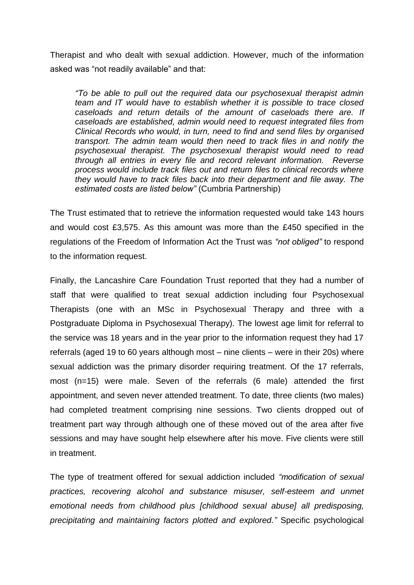Therapist and who dealt with sexual addiction. However, much of the information asked was "not readily available" and that:

*"To be able to pull out the required data our psychosexual therapist admin team and IT would have to establish whether it is possible to trace closed caseloads and return details of the amount of caseloads there are. If caseloads are established, admin would need to request integrated files from Clinical Records who would, in turn, need to find and send files by organised transport. The admin team would then need to track files in and notify the psychosexual therapist. The psychosexual therapist would need to read through all entries in every file and record relevant information. Reverse process would include track files out and return files to clinical records where they would have to track files back into their department and file away. The estimated costs are listed below"* (Cumbria Partnership)

The Trust estimated that to retrieve the information requested would take 143 hours and would cost £3,575. As this amount was more than the £450 specified in the regulations of the Freedom of Information Act the Trust was *"not obliged"* to respond to the information request.

Finally, the Lancashire Care Foundation Trust reported that they had a number of staff that were qualified to treat sexual addiction including four Psychosexual Therapists (one with an MSc in Psychosexual Therapy and three with a Postgraduate Diploma in Psychosexual Therapy). The lowest age limit for referral to the service was 18 years and in the year prior to the information request they had 17 referrals (aged 19 to 60 years although most – nine clients – were in their 20s) where sexual addiction was the primary disorder requiring treatment. Of the 17 referrals, most (n=15) were male. Seven of the referrals (6 male) attended the first appointment, and seven never attended treatment. To date, three clients (two males) had completed treatment comprising nine sessions. Two clients dropped out of treatment part way through although one of these moved out of the area after five sessions and may have sought help elsewhere after his move. Five clients were still in treatment.

The type of treatment offered for sexual addiction included *"modification of sexual practices, recovering alcohol and substance misuser, self-esteem and unmet emotional needs from childhood plus [childhood sexual abuse] all predisposing, precipitating and maintaining factors plotted and explored."* Specific psychological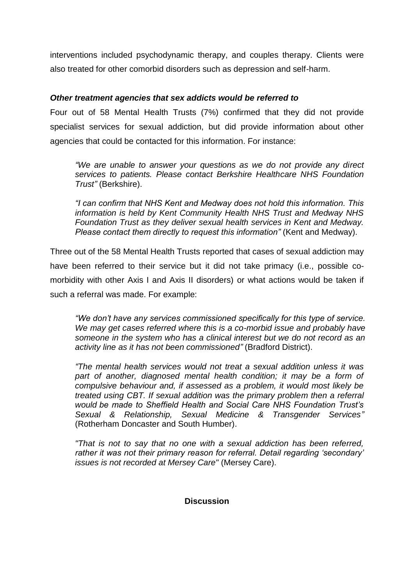interventions included psychodynamic therapy, and couples therapy. Clients were also treated for other comorbid disorders such as depression and self-harm.

## *Other treatment agencies that sex addicts would be referred to*

Four out of 58 Mental Health Trusts (7%) confirmed that they did not provide specialist services for sexual addiction, but did provide information about other agencies that could be contacted for this information. For instance:

*"We are unable to answer your questions as we do not provide any direct services to patients. Please contact Berkshire Healthcare NHS Foundation Trust"* (Berkshire).

*"I can confirm that NHS Kent and Medway does not hold this information. This information is held by Kent Community Health NHS Trust and Medway NHS Foundation Trust as they deliver sexual health services in Kent and Medway. Please contact them directly to request this information"* (Kent and Medway).

Three out of the 58 Mental Health Trusts reported that cases of sexual addiction may have been referred to their service but it did not take primacy (i.e., possible comorbidity with other Axis I and Axis II disorders) or what actions would be taken if such a referral was made. For example:

*"We don't have any services commissioned specifically for this type of service. We may get cases referred where this is a co-morbid issue and probably have someone in the system who has a clinical interest but we do not record as an activity line as it has not been commissioned"* (Bradford District).

*"The mental health services would not treat a sexual addition unless it was part of another, diagnosed mental health condition; it may be a form of compulsive behaviour and, if assessed as a problem, it would most likely be treated using CBT. If sexual addition was the primary problem then a referral would be made to Sheffield Health and Social Care NHS Foundation Trust's Sexual & Relationship, Sexual Medicine & Transgender Services"*  (Rotherham Doncaster and South Humber).

*"That is not to say that no one with a sexual addiction has been referred, rather it was not their primary reason for referral. Detail regarding 'secondary' issues is not recorded at Mersey Care"* (Mersey Care).

## **Discussion**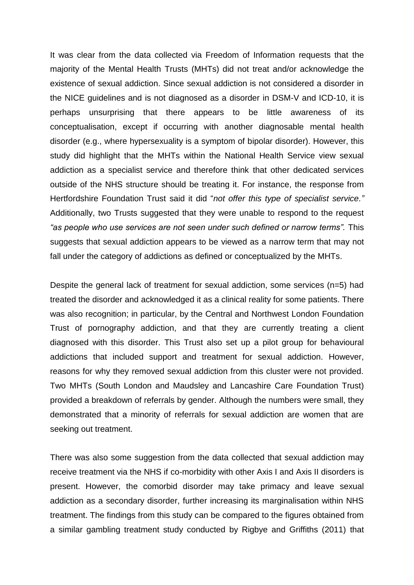It was clear from the data collected via Freedom of Information requests that the majority of the Mental Health Trusts (MHTs) did not treat and/or acknowledge the existence of sexual addiction. Since sexual addiction is not considered a disorder in the NICE guidelines and is not diagnosed as a disorder in DSM-V and ICD-10, it is perhaps unsurprising that there appears to be little awareness of its conceptualisation, except if occurring with another diagnosable mental health disorder (e.g., where hypersexuality is a symptom of bipolar disorder). However, this study did highlight that the MHTs within the National Health Service view sexual addiction as a specialist service and therefore think that other dedicated services outside of the NHS structure should be treating it. For instance, the response from Hertfordshire Foundation Trust said it did "*not offer this type of specialist service."* Additionally, two Trusts suggested that they were unable to respond to the request *"as people who use services are not seen under such defined or narrow terms".* This suggests that sexual addiction appears to be viewed as a narrow term that may not fall under the category of addictions as defined or conceptualized by the MHTs.

Despite the general lack of treatment for sexual addiction, some services (n=5) had treated the disorder and acknowledged it as a clinical reality for some patients. There was also recognition; in particular, by the Central and Northwest London Foundation Trust of pornography addiction, and that they are currently treating a client diagnosed with this disorder. This Trust also set up a pilot group for behavioural addictions that included support and treatment for sexual addiction. However, reasons for why they removed sexual addiction from this cluster were not provided. Two MHTs (South London and Maudsley and Lancashire Care Foundation Trust) provided a breakdown of referrals by gender. Although the numbers were small, they demonstrated that a minority of referrals for sexual addiction are women that are seeking out treatment.

There was also some suggestion from the data collected that sexual addiction may receive treatment via the NHS if co-morbidity with other Axis I and Axis II disorders is present. However, the comorbid disorder may take primacy and leave sexual addiction as a secondary disorder, further increasing its marginalisation within NHS treatment. The findings from this study can be compared to the figures obtained from a similar gambling treatment study conducted by Rigbye and Griffiths (2011) that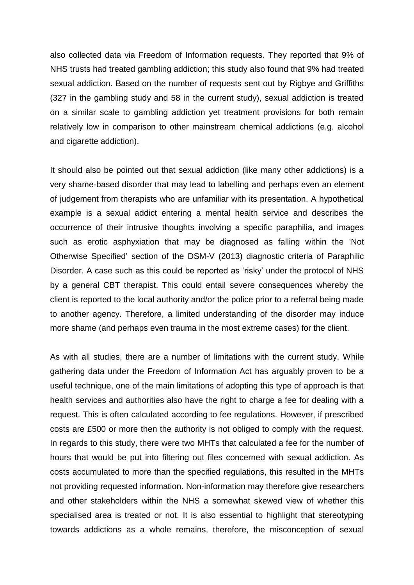also collected data via Freedom of Information requests. They reported that 9% of NHS trusts had treated gambling addiction; this study also found that 9% had treated sexual addiction. Based on the number of requests sent out by Rigbye and Griffiths (327 in the gambling study and 58 in the current study), sexual addiction is treated on a similar scale to gambling addiction yet treatment provisions for both remain relatively low in comparison to other mainstream chemical addictions (e.g. alcohol and cigarette addiction).

It should also be pointed out that sexual addiction (like many other addictions) is a very shame-based disorder that may lead to labelling and perhaps even an element of judgement from therapists who are unfamiliar with its presentation. A hypothetical example is a sexual addict entering a mental health service and describes the occurrence of their intrusive thoughts involving a specific paraphilia, and images such as erotic asphyxiation that may be diagnosed as falling within the 'Not Otherwise Specified' section of the DSM-V (2013) diagnostic criteria of Paraphilic Disorder. A case such as this could be reported as 'risky' under the protocol of NHS by a general CBT therapist. This could entail severe consequences whereby the client is reported to the local authority and/or the police prior to a referral being made to another agency. Therefore, a limited understanding of the disorder may induce more shame (and perhaps even trauma in the most extreme cases) for the client.

As with all studies, there are a number of limitations with the current study. While gathering data under the Freedom of Information Act has arguably proven to be a useful technique, one of the main limitations of adopting this type of approach is that health services and authorities also have the right to charge a fee for dealing with a request. This is often calculated according to fee regulations. However, if prescribed costs are £500 or more then the authority is not obliged to comply with the request. In regards to this study, there were two MHTs that calculated a fee for the number of hours that would be put into filtering out files concerned with sexual addiction. As costs accumulated to more than the specified regulations, this resulted in the MHTs not providing requested information. Non-information may therefore give researchers and other stakeholders within the NHS a somewhat skewed view of whether this specialised area is treated or not. It is also essential to highlight that stereotyping towards addictions as a whole remains, therefore, the misconception of sexual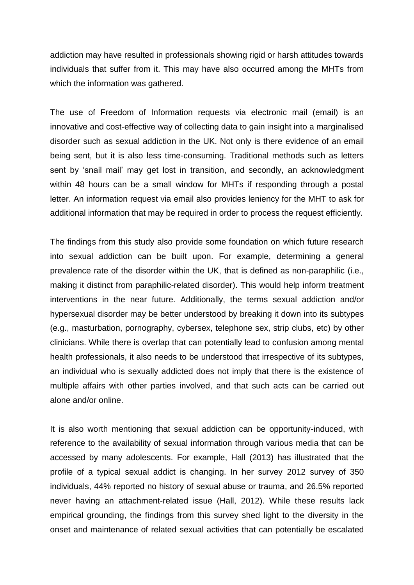addiction may have resulted in professionals showing rigid or harsh attitudes towards individuals that suffer from it. This may have also occurred among the MHTs from which the information was gathered.

The use of Freedom of Information requests via electronic mail (email) is an innovative and cost-effective way of collecting data to gain insight into a marginalised disorder such as sexual addiction in the UK. Not only is there evidence of an email being sent, but it is also less time-consuming. Traditional methods such as letters sent by 'snail mail' may get lost in transition, and secondly, an acknowledgment within 48 hours can be a small window for MHTs if responding through a postal letter. An information request via email also provides leniency for the MHT to ask for additional information that may be required in order to process the request efficiently.

The findings from this study also provide some foundation on which future research into sexual addiction can be built upon. For example, determining a general prevalence rate of the disorder within the UK, that is defined as non-paraphilic (i.e., making it distinct from paraphilic-related disorder). This would help inform treatment interventions in the near future. Additionally, the terms sexual addiction and/or hypersexual disorder may be better understood by breaking it down into its subtypes (e.g., masturbation, pornography, cybersex, telephone sex, strip clubs, etc) by other clinicians. While there is overlap that can potentially lead to confusion among mental health professionals, it also needs to be understood that irrespective of its subtypes, an individual who is sexually addicted does not imply that there is the existence of multiple affairs with other parties involved, and that such acts can be carried out alone and/or online.

It is also worth mentioning that sexual addiction can be opportunity-induced, with reference to the availability of sexual information through various media that can be accessed by many adolescents. For example, Hall (2013) has illustrated that the profile of a typical sexual addict is changing. In her survey 2012 survey of 350 individuals, 44% reported no history of sexual abuse or trauma, and 26.5% reported never having an attachment-related issue (Hall, 2012). While these results lack empirical grounding, the findings from this survey shed light to the diversity in the onset and maintenance of related sexual activities that can potentially be escalated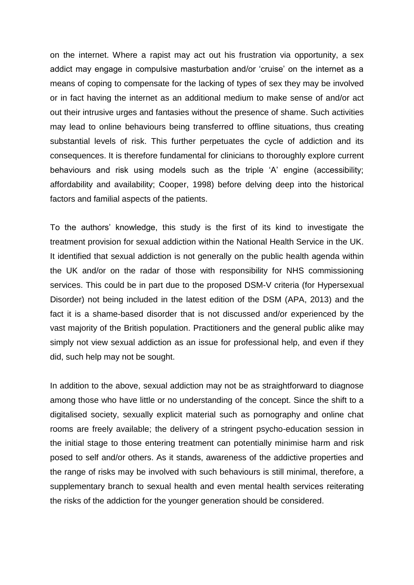on the internet. Where a rapist may act out his frustration via opportunity, a sex addict may engage in compulsive masturbation and/or 'cruise' on the internet as a means of coping to compensate for the lacking of types of sex they may be involved or in fact having the internet as an additional medium to make sense of and/or act out their intrusive urges and fantasies without the presence of shame. Such activities may lead to online behaviours being transferred to offline situations, thus creating substantial levels of risk. This further perpetuates the cycle of addiction and its consequences. It is therefore fundamental for clinicians to thoroughly explore current behaviours and risk using models such as the triple 'A' engine (accessibility; affordability and availability; Cooper, 1998) before delving deep into the historical factors and familial aspects of the patients.

To the authors' knowledge, this study is the first of its kind to investigate the treatment provision for sexual addiction within the National Health Service in the UK. It identified that sexual addiction is not generally on the public health agenda within the UK and/or on the radar of those with responsibility for NHS commissioning services. This could be in part due to the proposed DSM-V criteria (for Hypersexual Disorder) not being included in the latest edition of the DSM (APA, 2013) and the fact it is a shame-based disorder that is not discussed and/or experienced by the vast majority of the British population. Practitioners and the general public alike may simply not view sexual addiction as an issue for professional help, and even if they did, such help may not be sought.

In addition to the above, sexual addiction may not be as straightforward to diagnose among those who have little or no understanding of the concept. Since the shift to a digitalised society, sexually explicit material such as pornography and online chat rooms are freely available; the delivery of a stringent psycho-education session in the initial stage to those entering treatment can potentially minimise harm and risk posed to self and/or others. As it stands, awareness of the addictive properties and the range of risks may be involved with such behaviours is still minimal, therefore, a supplementary branch to sexual health and even mental health services reiterating the risks of the addiction for the younger generation should be considered.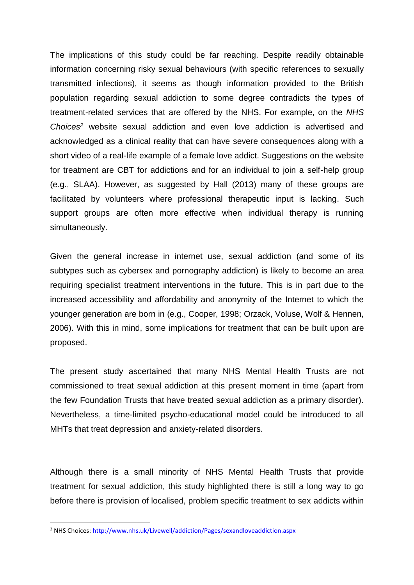The implications of this study could be far reaching. Despite readily obtainable information concerning risky sexual behaviours (with specific references to sexually transmitted infections), it seems as though information provided to the British population regarding sexual addiction to some degree contradicts the types of treatment-related services that are offered by the NHS. For example, on the *NHS Choices<sup>2</sup>* website sexual addiction and even love addiction is advertised and acknowledged as a clinical reality that can have severe consequences along with a short video of a real-life example of a female love addict. Suggestions on the website for treatment are CBT for addictions and for an individual to join a self-help group (e.g., SLAA). However, as suggested by Hall (2013) many of these groups are facilitated by volunteers where professional therapeutic input is lacking. Such support groups are often more effective when individual therapy is running simultaneously.

Given the general increase in internet use, sexual addiction (and some of its subtypes such as cybersex and pornography addiction) is likely to become an area requiring specialist treatment interventions in the future. This is in part due to the increased accessibility and affordability and anonymity of the Internet to which the younger generation are born in (e.g., Cooper, 1998; Orzack, Voluse, Wolf & Hennen, 2006). With this in mind, some implications for treatment that can be built upon are proposed.

The present study ascertained that many NHS Mental Health Trusts are not commissioned to treat sexual addiction at this present moment in time (apart from the few Foundation Trusts that have treated sexual addiction as a primary disorder). Nevertheless, a time-limited psycho-educational model could be introduced to all MHTs that treat depression and anxiety-related disorders.

Although there is a small minority of NHS Mental Health Trusts that provide treatment for sexual addiction, this study highlighted there is still a long way to go before there is provision of localised, problem specific treatment to sex addicts within

**.** 

<sup>2</sup> NHS Choices:<http://www.nhs.uk/Livewell/addiction/Pages/sexandloveaddiction.aspx>